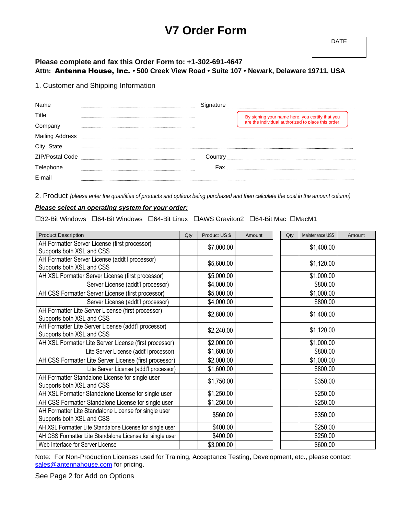# **V7 Order Form**

### **Please complete and fax this Order Form to: +1-302-691-4647 Attn:** Antenna House, Inc. **• 500 Creek View Road • Suite 107 • Newark, Delaware 19711, USA**

#### 1. Customer and Shipping Information

| Name                   | ınature |                                                    |
|------------------------|---------|----------------------------------------------------|
| Title                  |         | By signing your name here, you certify that you    |
| Company                |         | are the individual authorized to place this order. |
| <b>Mailing Address</b> |         |                                                    |
| City, State            |         |                                                    |
| <b>ZIP/Postal Code</b> | Country |                                                    |
|                        | Fax     |                                                    |
|                        |         |                                                    |

2. Product *(please enter the quantities of products and options being purchased and then calculate the cost in the amount column)*

#### *Please select an operating system for your order:*

□32-Bit Windows □64-Bit Windows □64-Bit Linux □AWS Graviton2 □64-Bit Mac □MacM1

| <b>Product Description</b>                                                        | Qty | Product US \$ | Amount | Qty | Maintenance US\$ | Amount |
|-----------------------------------------------------------------------------------|-----|---------------|--------|-----|------------------|--------|
| AH Formatter Server License (first processor)<br>Supports both XSL and CSS        |     | \$7,000.00    |        |     | \$1,400.00       |        |
| AH Formatter Server License (addt'l processor)<br>Supports both XSL and CSS       |     | \$5,600.00    |        |     | \$1,120.00       |        |
| AH XSL Formatter Server License (first processor)                                 |     | \$5,000.00    |        |     | \$1,000.00       |        |
| Server License (addt'l processor)                                                 |     | \$4,000.00    |        |     | \$800.00         |        |
| AH CSS Formatter Server License (first processor)                                 |     | \$5,000.00    |        |     | \$1,000.00       |        |
| Server License (addt'l processor)                                                 |     | \$4,000.00    |        |     | \$800.00         |        |
| AH Formatter Lite Server License (first processor)<br>Supports both XSL and CSS   |     | \$2,800.00    |        |     | \$1,400.00       |        |
| AH Formatter Lite Server License (addt'l processor)<br>Supports both XSL and CSS  |     | \$2,240.00    |        |     | \$1,120.00       |        |
| AH XSL Formatter Lite Server License (first processor)                            |     | \$2,000.00    |        |     | \$1,000.00       |        |
| Lite Server License (addt'l processor)                                            |     | \$1,600.00    |        |     | \$800.00         |        |
| AH CSS Formatter Lite Server License (first processor)                            |     | \$2,000.00    |        |     | \$1,000.00       |        |
| Lite Server License (addt'l processor)                                            |     | \$1,600.00    |        |     | \$800.00         |        |
| AH Formatter Standalone License for single user<br>Supports both XSL and CSS      |     | \$1,750.00    |        |     | \$350.00         |        |
| AH XSL Formatter Standalone License for single user                               |     | \$1,250.00    |        |     | \$250.00         |        |
| AH CSS Formatter Standalone License for single user                               |     | \$1,250.00    |        |     | \$250.00         |        |
| AH Formatter Lite Standalone License for single user<br>Supports both XSL and CSS |     | \$560.00      |        |     | \$350.00         |        |
| AH XSL Formatter Lite Standalone License for single user                          |     | \$400.00      |        |     | \$250.00         |        |
| AH CSS Formatter Lite Standalone License for single user                          |     | \$400.00      |        |     | \$250.00         |        |
| Web Interface for Server License                                                  |     | \$3,000.00    |        |     | \$600.00         |        |

Note: For Non-Production Licenses used for Training, Acceptance Testing, Development, etc., please contact [sales@antennahouse.com](mailto:sales@antennahouse.com) for pricing.

See Page 2 for Add on Options